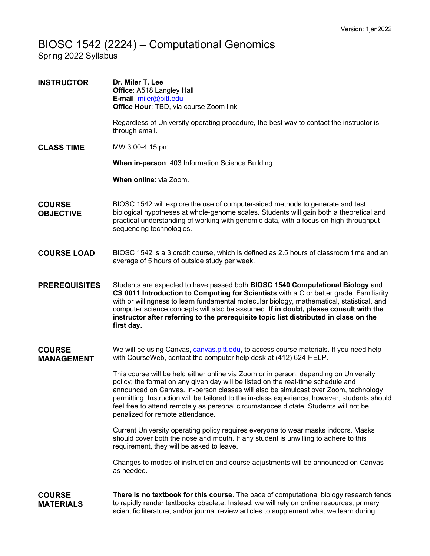## BIOSC 1542 (2224) – Computational Genomics

Spring 2022 Syllabus

| <b>INSTRUCTOR</b>                  | Dr. Miler T. Lee<br>Office: A518 Langley Hall<br>E-mail: miler@pitt.edu<br>Office Hour: TBD, via course Zoom link                                                                                                                                                                                                                                                                                                                                                                             |
|------------------------------------|-----------------------------------------------------------------------------------------------------------------------------------------------------------------------------------------------------------------------------------------------------------------------------------------------------------------------------------------------------------------------------------------------------------------------------------------------------------------------------------------------|
|                                    | Regardless of University operating procedure, the best way to contact the instructor is<br>through email.                                                                                                                                                                                                                                                                                                                                                                                     |
| <b>CLASS TIME</b>                  | MW 3:00-4:15 pm                                                                                                                                                                                                                                                                                                                                                                                                                                                                               |
|                                    | When in-person: 403 Information Science Building                                                                                                                                                                                                                                                                                                                                                                                                                                              |
|                                    | When online: via Zoom.                                                                                                                                                                                                                                                                                                                                                                                                                                                                        |
| <b>COURSE</b><br><b>OBJECTIVE</b>  | BIOSC 1542 will explore the use of computer-aided methods to generate and test<br>biological hypotheses at whole-genome scales. Students will gain both a theoretical and<br>practical understanding of working with genomic data, with a focus on high-throughput<br>sequencing technologies.                                                                                                                                                                                                |
| <b>COURSE LOAD</b>                 | BIOSC 1542 is a 3 credit course, which is defined as 2.5 hours of classroom time and an<br>average of 5 hours of outside study per week.                                                                                                                                                                                                                                                                                                                                                      |
| <b>PREREQUISITES</b>               | Students are expected to have passed both BIOSC 1540 Computational Biology and<br>CS 0011 Introduction to Computing for Scientists with a C or better grade. Familiarity<br>with or willingness to learn fundamental molecular biology, mathematical, statistical, and<br>computer science concepts will also be assumed. If in doubt, please consult with the<br>instructor after referring to the prerequisite topic list distributed in class on the<br>first day.                         |
| <b>COURSE</b><br><b>MANAGEMENT</b> | We will be using Canvas, canvas.pitt.edu, to access course materials. If you need help<br>with CourseWeb, contact the computer help desk at (412) 624-HELP.                                                                                                                                                                                                                                                                                                                                   |
|                                    | This course will be held either online via Zoom or in person, depending on University<br>policy; the format on any given day will be listed on the real-time schedule and<br>announced on Canvas. In-person classes will also be simulcast over Zoom, technology<br>permitting. Instruction will be tailored to the in-class experience; however, students should<br>feel free to attend remotely as personal circumstances dictate. Students will not be<br>penalized for remote attendance. |
|                                    | Current University operating policy requires everyone to wear masks indoors. Masks<br>should cover both the nose and mouth. If any student is unwilling to adhere to this<br>requirement, they will be asked to leave.                                                                                                                                                                                                                                                                        |
|                                    | Changes to modes of instruction and course adjustments will be announced on Canvas<br>as needed.                                                                                                                                                                                                                                                                                                                                                                                              |
| <b>COURSE</b><br><b>MATERIALS</b>  | There is no textbook for this course. The pace of computational biology research tends<br>to rapidly render textbooks obsolete. Instead, we will rely on online resources, primary<br>scientific literature, and/or journal review articles to supplement what we learn during                                                                                                                                                                                                                |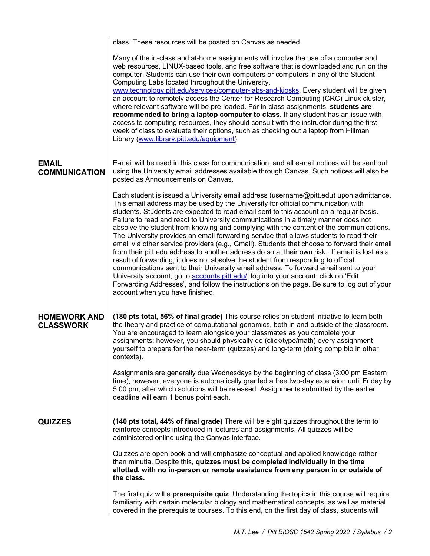|                                         | class. These resources will be posted on Canvas as needed.                                                                                                                                                                                                                                                                                                                                                                                                                                                                                                                                                                                                                                                                                                                                                                                                                                                                                                                                                                                                                                                                                           |
|-----------------------------------------|------------------------------------------------------------------------------------------------------------------------------------------------------------------------------------------------------------------------------------------------------------------------------------------------------------------------------------------------------------------------------------------------------------------------------------------------------------------------------------------------------------------------------------------------------------------------------------------------------------------------------------------------------------------------------------------------------------------------------------------------------------------------------------------------------------------------------------------------------------------------------------------------------------------------------------------------------------------------------------------------------------------------------------------------------------------------------------------------------------------------------------------------------|
|                                         | Many of the in-class and at-home assignments will involve the use of a computer and<br>web resources, LINUX-based tools, and free software that is downloaded and run on the<br>computer. Students can use their own computers or computers in any of the Student<br>Computing Labs located throughout the University,<br>www.technology.pitt.edu/services/computer-labs-and-kiosks. Every student will be given<br>an account to remotely access the Center for Research Computing (CRC) Linux cluster,<br>where relevant software will be pre-loaded. For in-class assignments, students are<br>recommended to bring a laptop computer to class. If any student has an issue with<br>access to computing resources, they should consult with the instructor during the first<br>week of class to evaluate their options, such as checking out a laptop from Hillman<br>Library (www.library.pitt.edu/equipment).                                                                                                                                                                                                                                   |
| <b>EMAIL</b><br><b>COMMUNICATION</b>    | E-mail will be used in this class for communication, and all e-mail notices will be sent out<br>using the University email addresses available through Canvas. Such notices will also be<br>posted as Announcements on Canvas.                                                                                                                                                                                                                                                                                                                                                                                                                                                                                                                                                                                                                                                                                                                                                                                                                                                                                                                       |
|                                         | Each student is issued a University email address (username@pitt.edu) upon admittance.<br>This email address may be used by the University for official communication with<br>students. Students are expected to read email sent to this account on a regular basis.<br>Failure to read and react to University communications in a timely manner does not<br>absolve the student from knowing and complying with the content of the communications.<br>The University provides an email forwarding service that allows students to read their<br>email via other service providers (e.g., Gmail). Students that choose to forward their email<br>from their pitt.edu address to another address do so at their own risk. If email is lost as a<br>result of forwarding, it does not absolve the student from responding to official<br>communications sent to their University email address. To forward email sent to your<br>University account, go to accounts.pitt.edu/, log into your account, click on 'Edit<br>Forwarding Addresses', and follow the instructions on the page. Be sure to log out of your<br>account when you have finished. |
| <b>HOMEWORK AND</b><br><b>CLASSWORK</b> | (180 pts total, 56% of final grade) This course relies on student initiative to learn both<br>the theory and practice of computational genomics, both in and outside of the classroom.<br>You are encouraged to learn alongside your classmates as you complete your<br>assignments; however, you should physically do (click/type/math) every assignment<br>yourself to prepare for the near-term (quizzes) and long-term (doing comp bio in other<br>contexts).                                                                                                                                                                                                                                                                                                                                                                                                                                                                                                                                                                                                                                                                                    |
|                                         | Assignments are generally due Wednesdays by the beginning of class (3:00 pm Eastern<br>time); however, everyone is automatically granted a free two-day extension until Friday by<br>5:00 pm, after which solutions will be released. Assignments submitted by the earlier<br>deadline will earn 1 bonus point each.                                                                                                                                                                                                                                                                                                                                                                                                                                                                                                                                                                                                                                                                                                                                                                                                                                 |
| <b>QUIZZES</b>                          | (140 pts total, 44% of final grade) There will be eight quizzes throughout the term to<br>reinforce concepts introduced in lectures and assignments. All quizzes will be<br>administered online using the Canvas interface.                                                                                                                                                                                                                                                                                                                                                                                                                                                                                                                                                                                                                                                                                                                                                                                                                                                                                                                          |
|                                         | Quizzes are open-book and will emphasize conceptual and applied knowledge rather<br>than minutia. Despite this, quizzes must be completed individually in the time<br>allotted, with no in-person or remote assistance from any person in or outside of<br>the class.                                                                                                                                                                                                                                                                                                                                                                                                                                                                                                                                                                                                                                                                                                                                                                                                                                                                                |
|                                         | The first quiz will a <b>prerequisite quiz</b> . Understanding the topics in this course will require<br>familiarity with certain molecular biology and mathematical concepts, as well as material<br>covered in the prerequisite courses. To this end, on the first day of class, students will                                                                                                                                                                                                                                                                                                                                                                                                                                                                                                                                                                                                                                                                                                                                                                                                                                                     |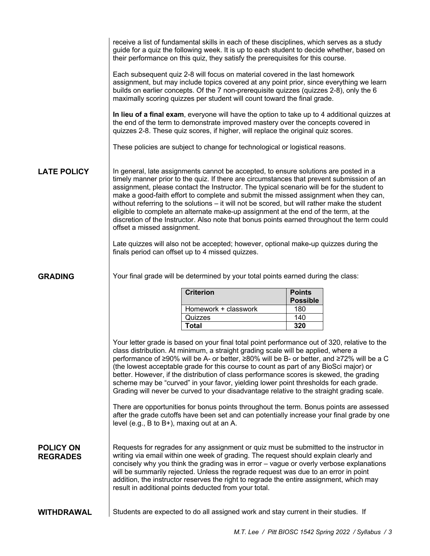|                                     |                                                                                                                                                                                                                                                                                                                                                                                                                                                                                                                                                                                                                                                                                                                                                                                                                                                   | receive a list of fundamental skills in each of these disciplines, which serves as a study<br>guide for a quiz the following week. It is up to each student to decide whether, based on<br>their performance on this quiz, they satisfy the prerequisites for this course.                                                                                                                                                                                                                                                                                                                                                                                                                                                                           |                                                                                              |  |
|-------------------------------------|---------------------------------------------------------------------------------------------------------------------------------------------------------------------------------------------------------------------------------------------------------------------------------------------------------------------------------------------------------------------------------------------------------------------------------------------------------------------------------------------------------------------------------------------------------------------------------------------------------------------------------------------------------------------------------------------------------------------------------------------------------------------------------------------------------------------------------------------------|------------------------------------------------------------------------------------------------------------------------------------------------------------------------------------------------------------------------------------------------------------------------------------------------------------------------------------------------------------------------------------------------------------------------------------------------------------------------------------------------------------------------------------------------------------------------------------------------------------------------------------------------------------------------------------------------------------------------------------------------------|----------------------------------------------------------------------------------------------|--|
|                                     |                                                                                                                                                                                                                                                                                                                                                                                                                                                                                                                                                                                                                                                                                                                                                                                                                                                   | Each subsequent quiz 2-8 will focus on material covered in the last homework<br>assignment, but may include topics covered at any point prior, since everything we learn<br>builds on earlier concepts. Of the 7 non-prerequisite quizzes (quizzes 2-8), only the 6<br>maximally scoring quizzes per student will count toward the final grade.                                                                                                                                                                                                                                                                                                                                                                                                      |                                                                                              |  |
|                                     |                                                                                                                                                                                                                                                                                                                                                                                                                                                                                                                                                                                                                                                                                                                                                                                                                                                   | the end of the term to demonstrate improved mastery over the concepts covered in<br>quizzes 2-8. These quiz scores, if higher, will replace the original quiz scores.                                                                                                                                                                                                                                                                                                                                                                                                                                                                                                                                                                                | In lieu of a final exam, everyone will have the option to take up to 4 additional quizzes at |  |
|                                     |                                                                                                                                                                                                                                                                                                                                                                                                                                                                                                                                                                                                                                                                                                                                                                                                                                                   | These policies are subject to change for technological or logistical reasons.                                                                                                                                                                                                                                                                                                                                                                                                                                                                                                                                                                                                                                                                        |                                                                                              |  |
| <b>LATE POLICY</b>                  | offset a missed assignment.                                                                                                                                                                                                                                                                                                                                                                                                                                                                                                                                                                                                                                                                                                                                                                                                                       | In general, late assignments cannot be accepted, to ensure solutions are posted in a<br>timely manner prior to the quiz. If there are circumstances that prevent submission of an<br>assignment, please contact the Instructor. The typical scenario will be for the student to<br>make a good-faith effort to complete and submit the missed assignment when they can,<br>without referring to the solutions - it will not be scored, but will rather make the student<br>eligible to complete an alternate make-up assignment at the end of the term, at the<br>discretion of the Instructor. Also note that bonus points earned throughout the term could<br>Late quizzes will also not be accepted; however, optional make-up quizzes during the |                                                                                              |  |
|                                     |                                                                                                                                                                                                                                                                                                                                                                                                                                                                                                                                                                                                                                                                                                                                                                                                                                                   | finals period can offset up to 4 missed quizzes.                                                                                                                                                                                                                                                                                                                                                                                                                                                                                                                                                                                                                                                                                                     |                                                                                              |  |
| <b>GRADING</b>                      |                                                                                                                                                                                                                                                                                                                                                                                                                                                                                                                                                                                                                                                                                                                                                                                                                                                   | Your final grade will be determined by your total points earned during the class:                                                                                                                                                                                                                                                                                                                                                                                                                                                                                                                                                                                                                                                                    |                                                                                              |  |
|                                     |                                                                                                                                                                                                                                                                                                                                                                                                                                                                                                                                                                                                                                                                                                                                                                                                                                                   | <b>Criterion</b>                                                                                                                                                                                                                                                                                                                                                                                                                                                                                                                                                                                                                                                                                                                                     | <b>Points</b><br><b>Possible</b>                                                             |  |
|                                     |                                                                                                                                                                                                                                                                                                                                                                                                                                                                                                                                                                                                                                                                                                                                                                                                                                                   | Homework + classwork                                                                                                                                                                                                                                                                                                                                                                                                                                                                                                                                                                                                                                                                                                                                 | 180                                                                                          |  |
|                                     |                                                                                                                                                                                                                                                                                                                                                                                                                                                                                                                                                                                                                                                                                                                                                                                                                                                   | Quizzes<br><b>Total</b>                                                                                                                                                                                                                                                                                                                                                                                                                                                                                                                                                                                                                                                                                                                              | 140<br>320                                                                                   |  |
|                                     | Your letter grade is based on your final total point performance out of 320, relative to the<br>class distribution. At minimum, a straight grading scale will be applied, where a<br>performance of ≥90% will be A- or better, ≥80% will be B- or better, and ≥72% will be a C<br>(the lowest acceptable grade for this course to count as part of any BioSci major) or<br>better. However, if the distribution of class performance scores is skewed, the grading<br>scheme may be "curved" in your favor, yielding lower point thresholds for each grade.<br>Grading will never be curved to your disadvantage relative to the straight grading scale.<br>There are opportunities for bonus points throughout the term. Bonus points are assessed<br>after the grade cutoffs have been set and can potentially increase your final grade by one |                                                                                                                                                                                                                                                                                                                                                                                                                                                                                                                                                                                                                                                                                                                                                      |                                                                                              |  |
|                                     | level (e.g., $B$ to $B+$ ), maxing out at an A.                                                                                                                                                                                                                                                                                                                                                                                                                                                                                                                                                                                                                                                                                                                                                                                                   |                                                                                                                                                                                                                                                                                                                                                                                                                                                                                                                                                                                                                                                                                                                                                      |                                                                                              |  |
| <b>POLICY ON</b><br><b>REGRADES</b> | Requests for regrades for any assignment or quiz must be submitted to the instructor in<br>writing via email within one week of grading. The request should explain clearly and<br>concisely why you think the grading was in error - vague or overly verbose explanations<br>will be summarily rejected. Unless the regrade request was due to an error in point<br>addition, the instructor reserves the right to regrade the entire assignment, which may<br>result in additional points deducted from your total.                                                                                                                                                                                                                                                                                                                             |                                                                                                                                                                                                                                                                                                                                                                                                                                                                                                                                                                                                                                                                                                                                                      |                                                                                              |  |
| <b>WITHDRAWAL</b>                   |                                                                                                                                                                                                                                                                                                                                                                                                                                                                                                                                                                                                                                                                                                                                                                                                                                                   | Students are expected to do all assigned work and stay current in their studies. If                                                                                                                                                                                                                                                                                                                                                                                                                                                                                                                                                                                                                                                                  |                                                                                              |  |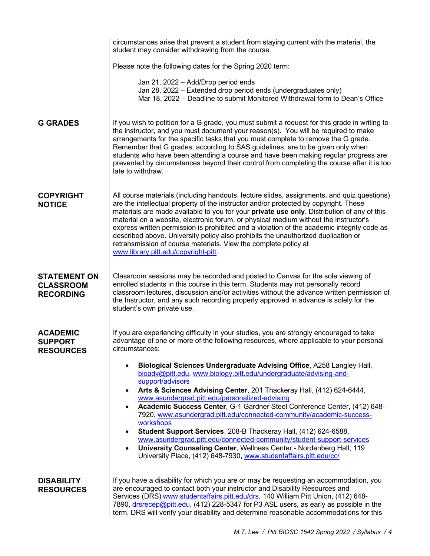|                                                             | circumstances arise that prevent a student from staying current with the material, the<br>student may consider withdrawing from the course.                                                                                                                                                                                                                                                                                                                                                                                                                                                                                                                                                                                                                     |
|-------------------------------------------------------------|-----------------------------------------------------------------------------------------------------------------------------------------------------------------------------------------------------------------------------------------------------------------------------------------------------------------------------------------------------------------------------------------------------------------------------------------------------------------------------------------------------------------------------------------------------------------------------------------------------------------------------------------------------------------------------------------------------------------------------------------------------------------|
|                                                             | Please note the following dates for the Spring 2020 term:                                                                                                                                                                                                                                                                                                                                                                                                                                                                                                                                                                                                                                                                                                       |
|                                                             | Jan 21, 2022 - Add/Drop period ends<br>Jan 28, 2022 - Extended drop period ends (undergraduates only)<br>Mar 18, 2022 – Deadline to submit Monitored Withdrawal form to Dean's Office                                                                                                                                                                                                                                                                                                                                                                                                                                                                                                                                                                           |
| <b>G GRADES</b>                                             | If you wish to petition for a G grade, you must submit a request for this grade in writing to<br>the instructor, and you must document your reason(s). You will be required to make<br>arrangements for the specific tasks that you must complete to remove the G grade.<br>Remember that G grades, according to SAS guidelines, are to be given only when<br>students who have been attending a course and have been making regular progress are<br>prevented by circumstances beyond their control from completing the course after it is too<br>late to withdraw.                                                                                                                                                                                            |
| <b>COPYRIGHT</b><br><b>NOTICE</b>                           | All course materials (including handouts, lecture slides, assignments, and quiz questions)<br>are the intellectual property of the instructor and/or protected by copyright. These<br>materials are made available to you for your private use only. Distribution of any of this<br>material on a website, electronic forum, or physical medium without the instructor's<br>express written permission is prohibited and a violation of the academic integrity code as<br>described above. University policy also prohibits the unauthorized duplication or<br>retransmission of course materials. View the complete policy at<br>www.library.pitt.edu/copyright-pitt.                                                                                          |
| <b>STATEMENT ON</b><br><b>CLASSROOM</b><br><b>RECORDING</b> | Classroom sessions may be recorded and posted to Canvas for the sole viewing of<br>enrolled students in this course in this term. Students may not personally record<br>classroom lectures, discussion and/or activities without the advance written permission of<br>the Instructor, and any such recording properly approved in advance is solely for the<br>student's own private use.                                                                                                                                                                                                                                                                                                                                                                       |
| <b>ACADEMIC</b><br><b>SUPPORT</b><br><b>RESOURCES</b>       | If you are experiencing difficulty in your studies, you are strongly encouraged to take<br>advantage of one or more of the following resources, where applicable to your personal<br>circumstances:                                                                                                                                                                                                                                                                                                                                                                                                                                                                                                                                                             |
|                                                             | Biological Sciences Undergraduate Advising Office, A258 Langley Hall,<br>bioadv@pitt.edu, www.biology.pitt.edu/undergraduate/advising-and-<br>support/advisors<br>Arts & Sciences Advising Center, 201 Thackeray Hall, (412) 624-6444,<br>$\bullet$<br>www.asundergrad.pitt.edu/personalized-advising<br>Academic Success Center, G-1 Gardner Steel Conference Center, (412) 648-<br>7920, www.asundergrad.pitt.edu/connected-community/academic-success-<br>workshops<br>Student Support Services, 208-B Thackeray Hall, (412) 624-6588,<br>www.asundergrad.pitt.edu/connected-community/student-support-services<br>University Counseling Center, Wellness Center - Nordenberg Hall, 119<br>University Place, (412) 648-7930, www.studentaffairs.pitt.edu/cc/ |
| <b>DISABILITY</b><br><b>RESOURCES</b>                       | If you have a disability for which you are or may be requesting an accommodation, you<br>are encouraged to contact both your instructor and Disability Resources and<br>Services (DRS) www.studentaffairs.pitt.edu/drs, 140 William Pitt Union, (412) 648-<br>7890, drsrecep@pitt.edu, (412) 228-5347 for P3 ASL users, as early as possible in the<br>term. DRS will verify your disability and determine reasonable accommodations for this                                                                                                                                                                                                                                                                                                                   |